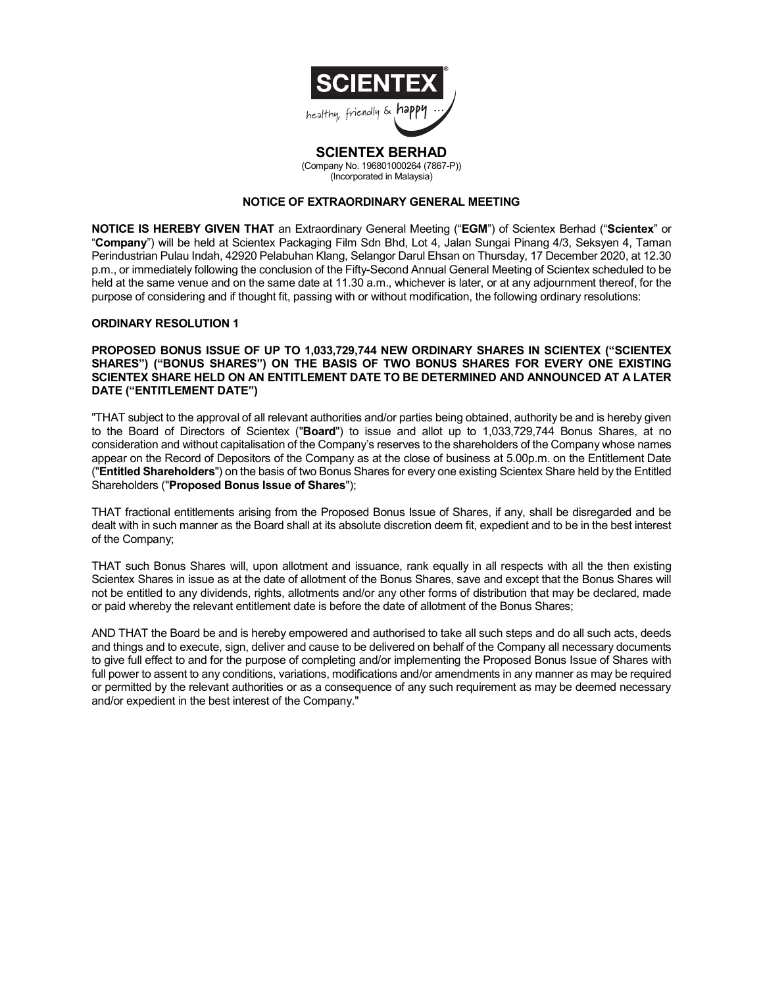

SCIENTEX BERHAD

(Company No. 196801000264 (7867-P)) (Incorporated in Malaysia)

# NOTICE OF EXTRAORDINARY GENERAL MEETING

NOTICE IS HEREBY GIVEN THAT an Extraordinary General Meeting ("EGM") of Scientex Berhad ("Scientex" or "Company") will be held at Scientex Packaging Film Sdn Bhd, Lot 4, Jalan Sungai Pinang 4/3, Seksyen 4, Taman Perindustrian Pulau Indah, 42920 Pelabuhan Klang, Selangor Darul Ehsan on Thursday, 17 December 2020, at 12.30 p.m., or immediately following the conclusion of the Fifty-Second Annual General Meeting of Scientex scheduled to be held at the same venue and on the same date at 11.30 a.m., whichever is later, or at any adjournment thereof, for the purpose of considering and if thought fit, passing with or without modification, the following ordinary resolutions:

# ORDINARY RESOLUTION 1

PROPOSED BONUS ISSUE OF UP TO 1,033,729,744 NEW ORDINARY SHARES IN SCIENTEX ("SCIENTEX SHARES") ("BONUS SHARES") ON THE BASIS OF TWO BONUS SHARES FOR EVERY ONE EXISTING SCIENTEX SHARE HELD ON AN ENTITLEMENT DATE TO BE DETERMINED AND ANNOUNCED AT A LATER DATE ("ENTITLEMENT DATE")

"THAT subject to the approval of all relevant authorities and/or parties being obtained, authority be and is hereby given to the Board of Directors of Scientex ("Board") to issue and allot up to 1,033,729,744 Bonus Shares, at no consideration and without capitalisation of the Company's reserves to the shareholders of the Company whose names appear on the Record of Depositors of the Company as at the close of business at 5.00p.m. on the Entitlement Date ("Entitled Shareholders") on the basis of two Bonus Shares for every one existing Scientex Share held by the Entitled Shareholders ("Proposed Bonus Issue of Shares");

THAT fractional entitlements arising from the Proposed Bonus Issue of Shares, if any, shall be disregarded and be dealt with in such manner as the Board shall at its absolute discretion deem fit, expedient and to be in the best interest of the Company;

THAT such Bonus Shares will, upon allotment and issuance, rank equally in all respects with all the then existing Scientex Shares in issue as at the date of allotment of the Bonus Shares, save and except that the Bonus Shares will not be entitled to any dividends, rights, allotments and/or any other forms of distribution that may be declared, made or paid whereby the relevant entitlement date is before the date of allotment of the Bonus Shares;

AND THAT the Board be and is hereby empowered and authorised to take all such steps and do all such acts, deeds and things and to execute, sign, deliver and cause to be delivered on behalf of the Company all necessary documents to give full effect to and for the purpose of completing and/or implementing the Proposed Bonus Issue of Shares with full power to assent to any conditions, variations, modifications and/or amendments in any manner as may be required or permitted by the relevant authorities or as a consequence of any such requirement as may be deemed necessary and/or expedient in the best interest of the Company."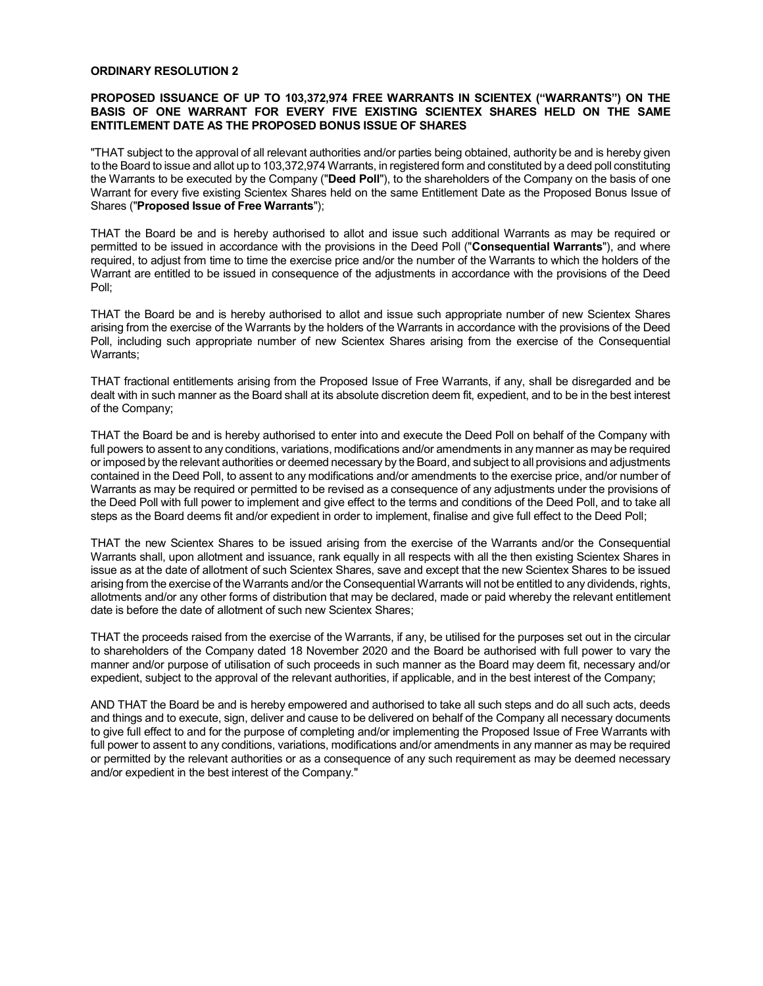### ORDINARY RESOLUTION 2

# PROPOSED ISSUANCE OF UP TO 103,372,974 FREE WARRANTS IN SCIENTEX ("WARRANTS") ON THE BASIS OF ONE WARRANT FOR EVERY FIVE EXISTING SCIENTEX SHARES HELD ON THE SAME ENTITLEMENT DATE AS THE PROPOSED BONUS ISSUE OF SHARES

"THAT subject to the approval of all relevant authorities and/or parties being obtained, authority be and is hereby given to the Board to issue and allot up to 103,372,974 Warrants, in registered form and constituted by a deed poll constituting the Warrants to be executed by the Company ("Deed Poll"), to the shareholders of the Company on the basis of one Warrant for every five existing Scientex Shares held on the same Entitlement Date as the Proposed Bonus Issue of Shares ("Proposed Issue of Free Warrants");

THAT the Board be and is hereby authorised to allot and issue such additional Warrants as may be required or permitted to be issued in accordance with the provisions in the Deed Poll ("Consequential Warrants"), and where required, to adjust from time to time the exercise price and/or the number of the Warrants to which the holders of the Warrant are entitled to be issued in consequence of the adjustments in accordance with the provisions of the Deed Poll;

THAT the Board be and is hereby authorised to allot and issue such appropriate number of new Scientex Shares arising from the exercise of the Warrants by the holders of the Warrants in accordance with the provisions of the Deed Poll, including such appropriate number of new Scientex Shares arising from the exercise of the Consequential Warrants;

THAT fractional entitlements arising from the Proposed Issue of Free Warrants, if any, shall be disregarded and be dealt with in such manner as the Board shall at its absolute discretion deem fit, expedient, and to be in the best interest of the Company;

THAT the Board be and is hereby authorised to enter into and execute the Deed Poll on behalf of the Company with full powers to assent to any conditions, variations, modifications and/or amendments in any manner as may be required or imposed by the relevant authorities or deemed necessary by the Board, and subject to all provisions and adjustments contained in the Deed Poll, to assent to any modifications and/or amendments to the exercise price, and/or number of Warrants as may be required or permitted to be revised as a consequence of any adjustments under the provisions of the Deed Poll with full power to implement and give effect to the terms and conditions of the Deed Poll, and to take all steps as the Board deems fit and/or expedient in order to implement, finalise and give full effect to the Deed Poll;

THAT the new Scientex Shares to be issued arising from the exercise of the Warrants and/or the Consequential Warrants shall, upon allotment and issuance, rank equally in all respects with all the then existing Scientex Shares in issue as at the date of allotment of such Scientex Shares, save and except that the new Scientex Shares to be issued arising from the exercise of the Warrants and/or the Consequential Warrants will not be entitled to any dividends, rights, allotments and/or any other forms of distribution that may be declared, made or paid whereby the relevant entitlement date is before the date of allotment of such new Scientex Shares;

THAT the proceeds raised from the exercise of the Warrants, if any, be utilised for the purposes set out in the circular to shareholders of the Company dated 18 November 2020 and the Board be authorised with full power to vary the manner and/or purpose of utilisation of such proceeds in such manner as the Board may deem fit, necessary and/or expedient, subject to the approval of the relevant authorities, if applicable, and in the best interest of the Company;

AND THAT the Board be and is hereby empowered and authorised to take all such steps and do all such acts, deeds and things and to execute, sign, deliver and cause to be delivered on behalf of the Company all necessary documents to give full effect to and for the purpose of completing and/or implementing the Proposed Issue of Free Warrants with full power to assent to any conditions, variations, modifications and/or amendments in any manner as may be required or permitted by the relevant authorities or as a consequence of any such requirement as may be deemed necessary and/or expedient in the best interest of the Company."